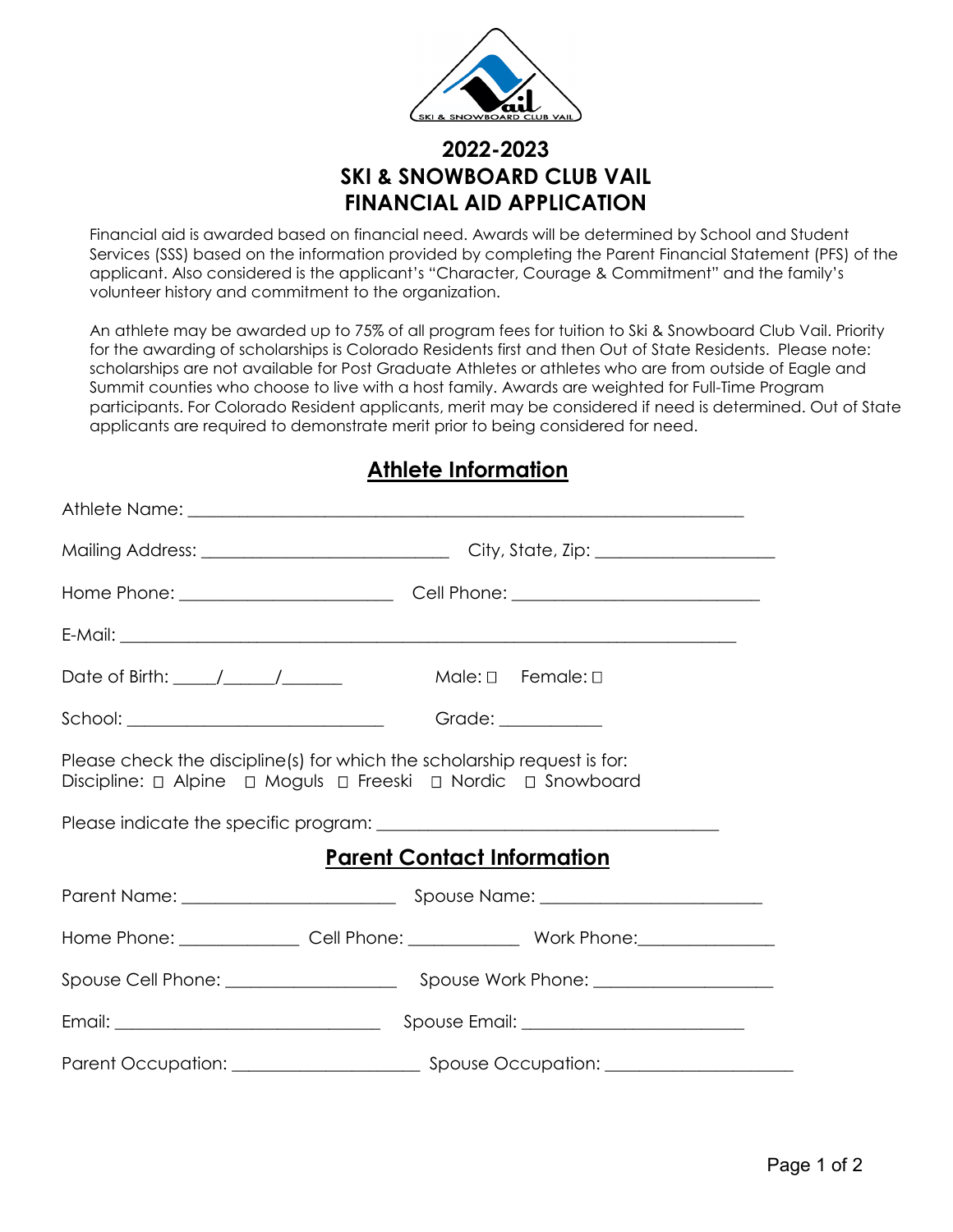

# **2022-2023 SKI & SNOWBOARD CLUB VAIL FINANCIAL AID APPLICATION**

Financial aid is awarded based on financial need. Awards will be determined by School and Student Services (SSS) based on the information provided by completing the Parent Financial Statement (PFS) of the applicant. Also considered is the applicant's "Character, Courage & Commitment" and the family's volunteer history and commitment to the organization.

An athlete may be awarded up to 75% of all program fees for tuition to Ski & Snowboard Club Vail. Priority for the awarding of scholarships is Colorado Residents first and then Out of State Residents. Please note: scholarships are not available for Post Graduate Athletes or athletes who are from outside of Eagle and Summit counties who choose to live with a host family. Awards are weighted for Full-Time Program participants. For Colorado Resident applicants, merit may be considered if need is determined. Out of State applicants are required to demonstrate merit prior to being considered for need.

## **Athlete Information**

|                                           | Athlete Name: 2008 2009 2010 2020 2021 2022 2023 2024 2022 2022 2023 2024 2022 2023 2024 2022 2023 2024 2022 20                          |  |
|-------------------------------------------|------------------------------------------------------------------------------------------------------------------------------------------|--|
|                                           |                                                                                                                                          |  |
|                                           |                                                                                                                                          |  |
|                                           |                                                                                                                                          |  |
|                                           | $Male: \Box$ Female: $\Box$                                                                                                              |  |
| School: _________________________________ | Grade: __________                                                                                                                        |  |
|                                           | Please check the discipline(s) for which the scholarship request is for:<br>Discipline: 0 Alpine 0 Moguls 0 Freeski 0 Nordic 0 Snowboard |  |
|                                           |                                                                                                                                          |  |
|                                           | <b>Parent Contact Information</b>                                                                                                        |  |
|                                           |                                                                                                                                          |  |
|                                           |                                                                                                                                          |  |
|                                           |                                                                                                                                          |  |
|                                           |                                                                                                                                          |  |
|                                           |                                                                                                                                          |  |